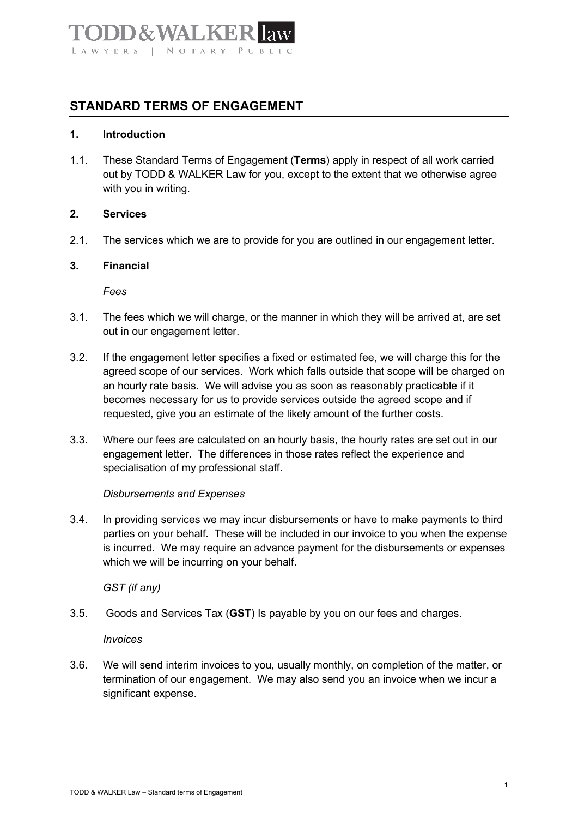# $\lambda$ . WAT LAWYERS | NOTARY PUBLIC

## **STANDARD TERMS OF ENGAGEMENT**

## **1. Introduction**

1.1. These Standard Terms of Engagement (**Terms**) apply in respect of all work carried out by TODD & WALKER Law for you, except to the extent that we otherwise agree with you in writing.

#### **2. Services**

2.1. The services which we are to provide for you are outlined in our engagement letter.

#### **3. Financial**

*Fees*

- 3.1. The fees which we will charge, or the manner in which they will be arrived at, are set out in our engagement letter.
- 3.2. If the engagement letter specifies a fixed or estimated fee, we will charge this for the agreed scope of our services. Work which falls outside that scope will be charged on an hourly rate basis. We will advise you as soon as reasonably practicable if it becomes necessary for us to provide services outside the agreed scope and if requested, give you an estimate of the likely amount of the further costs.
- 3.3. Where our fees are calculated on an hourly basis, the hourly rates are set out in our engagement letter. The differences in those rates reflect the experience and specialisation of my professional staff.

## *Disbursements and Expenses*

3.4. In providing services we may incur disbursements or have to make payments to third parties on your behalf. These will be included in our invoice to you when the expense is incurred. We may require an advance payment for the disbursements or expenses which we will be incurring on your behalf.

*GST (if any)*

3.5. Goods and Services Tax (**GST**) Is payable by you on our fees and charges.

*Invoices* 

3.6. We will send interim invoices to you, usually monthly, on completion of the matter, or termination of our engagement. We may also send you an invoice when we incur a significant expense.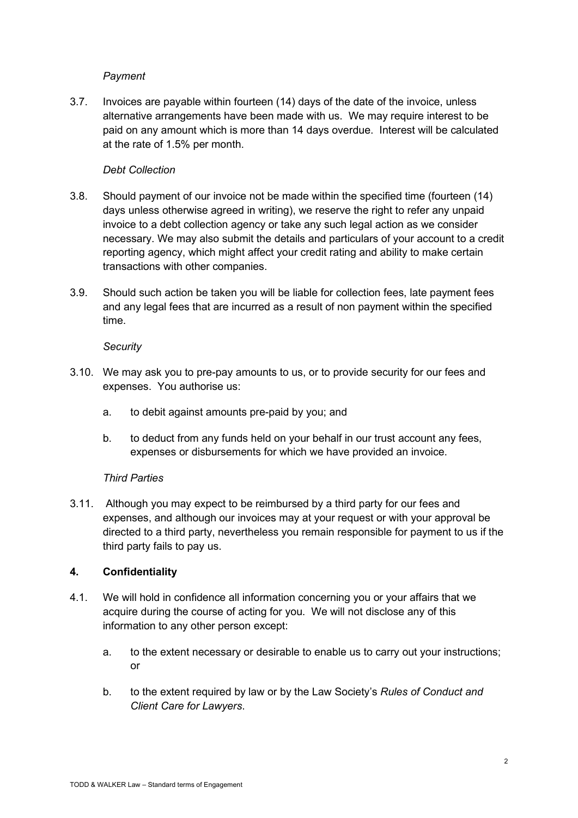## *Payment*

3.7. Invoices are payable within fourteen (14) days of the date of the invoice, unless alternative arrangements have been made with us. We may require interest to be paid on any amount which is more than 14 days overdue. Interest will be calculated at the rate of 1.5% per month.

## *Debt Collection*

- 3.8. Should payment of our invoice not be made within the specified time (fourteen (14) days unless otherwise agreed in writing), we reserve the right to refer any unpaid invoice to a debt collection agency or take any such legal action as we consider necessary. We may also submit the details and particulars of your account to a credit reporting agency, which might affect your credit rating and ability to make certain transactions with other companies.
- 3.9. Should such action be taken you will be liable for collection fees, late payment fees and any legal fees that are incurred as a result of non payment within the specified time.

## *Security*

- 3.10. We may ask you to pre-pay amounts to us, or to provide security for our fees and expenses. You authorise us:
	- a. to debit against amounts pre-paid by you; and
	- b. to deduct from any funds held on your behalf in our trust account any fees, expenses or disbursements for which we have provided an invoice.

## *Third Parties*

3.11. Although you may expect to be reimbursed by a third party for our fees and expenses, and although our invoices may at your request or with your approval be directed to a third party, nevertheless you remain responsible for payment to us if the third party fails to pay us.

## **4. Confidentiality**

- 4.1. We will hold in confidence all information concerning you or your affairs that we acquire during the course of acting for you. We will not disclose any of this information to any other person except:
	- a. to the extent necessary or desirable to enable us to carry out your instructions; or
	- b. to the extent required by law or by the Law Society's *Rules of Conduct and Client Care for Lawyers*.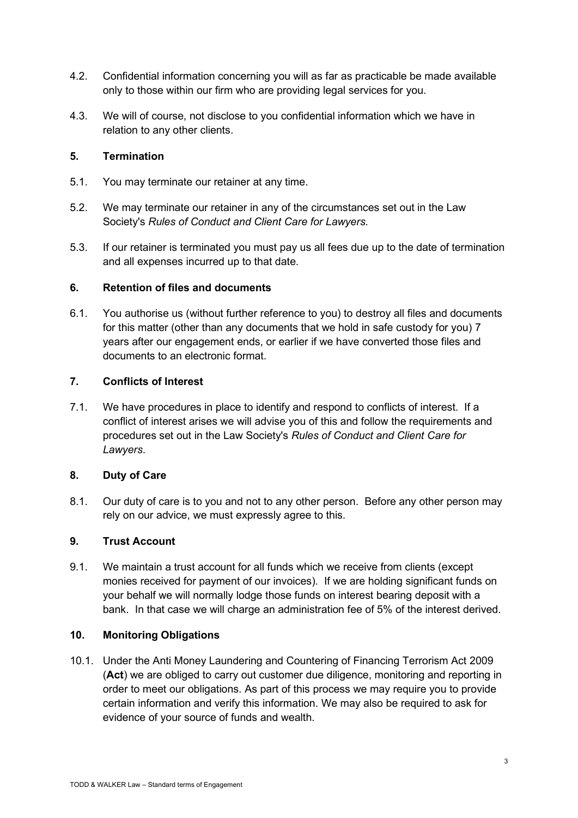- 4.2. Confidential information concerning you will as far as practicable be made available only to those within our firm who are providing legal services for you.
- 4.3. We will of course, not disclose to you confidential information which we have in relation to any other clients.

## **5. Termination**

- 5.1. You may terminate our retainer at any time.
- 5.2. We may terminate our retainer in any of the circumstances set out in the Law Society's *Rules of Conduct and Client Care for Lawyers.*
- 5.3. If our retainer is terminated you must pay us all fees due up to the date of termination and all expenses incurred up to that date.

## **6. Retention of files and documents**

6.1. You authorise us (without further reference to you) to destroy all files and documents for this matter (other than any documents that we hold in safe custody for you) 7 years after our engagement ends, or earlier if we have converted those files and documents to an electronic format.

## **7. Conflicts of Interest**

7.1. We have procedures in place to identify and respond to conflicts of interest. If a conflict of interest arises we will advise you of this and follow the requirements and procedures set out in the Law Society's *Rules of Conduct and Client Care for Lawyers*.

## **8. Duty of Care**

8.1. Our duty of care is to you and not to any other person. Before any other person may rely on our advice, we must expressly agree to this.

## **9. Trust Account**

9.1. We maintain a trust account for all funds which we receive from clients (except monies received for payment of our invoices). If we are holding significant funds on your behalf we will normally lodge those funds on interest bearing deposit with a bank. In that case we will charge an administration fee of 5% of the interest derived.

## **10. Monitoring Obligations**

10.1. Under the Anti Money Laundering and Countering of Financing Terrorism Act 2009 (**Act**) we are obliged to carry out customer due diligence, monitoring and reporting in order to meet our obligations. As part of this process we may require you to provide certain information and verify this information. We may also be required to ask for evidence of your source of funds and wealth.